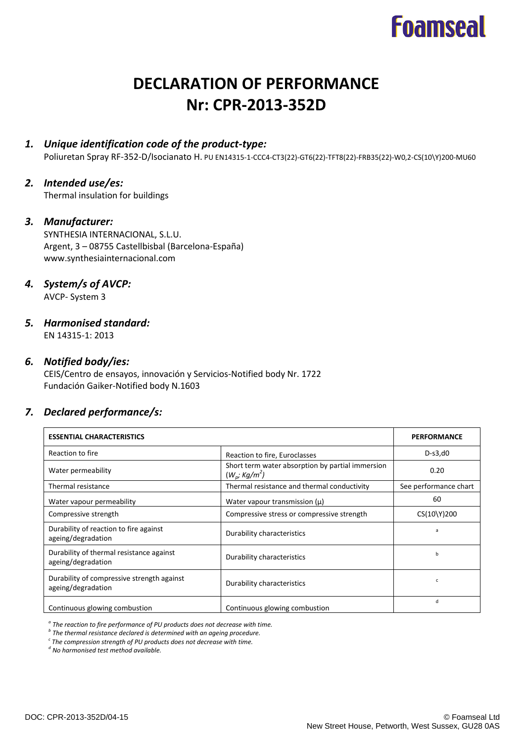## **Foamseal**

## **DECLARATION OF PERFORMANCE Nr: CPR-2013-352D**

## *1. Unique identification code of the product-type:*

Poliuretan Spray RF-352-D/Isocianato H. PU EN14315-1-CCC4-CT3(22)-GT6(22)-TFT8(22)-FRB35(22)-W0,2-CS(10\Y)200-MU60

## *2. Intended use/es:*

Thermal insulation for buildings

## *3. Manufacturer:*

SYNTHESIA INTERNACIONAL, S.L.U. Argent, 3 – 08755 Castellbisbal (Barcelona-España) www.synthesiainternacional.com

## *4. System/s of AVCP:*

AVCP- System 3

## *5. Harmonised standard:*

EN 14315-1: 2013

## *6. Notified body/ies:*

CEIS/Centro de ensayos, innovación y Servicios-Notified body Nr. 1722 Fundación Gaiker-Notified body N.1603

## *7. Declared performance/s:*

| <b>ESSENTIAL CHARACTERISTICS</b>                                 | <b>PERFORMANCE</b>                                                  |                       |
|------------------------------------------------------------------|---------------------------------------------------------------------|-----------------------|
| Reaction to fire                                                 | Reaction to fire, Euroclasses                                       | $D-S3,d0$             |
| Water permeability                                               | Short term water absorption by partial immersion<br>$(W_p; Kg/m^2)$ | 0.20                  |
| Thermal resistance                                               | Thermal resistance and thermal conductivity                         | See performance chart |
| Water vapour permeability                                        | Water vapour transmission $(\mu)$                                   | 60                    |
| Compressive strength                                             | Compressive stress or compressive strength                          | CS(10\Y)200           |
| Durability of reaction to fire against<br>ageing/degradation     | Durability characteristics                                          | a                     |
| Durability of thermal resistance against<br>ageing/degradation   | Durability characteristics                                          | b                     |
| Durability of compressive strength against<br>ageing/degradation | Durability characteristics                                          | c                     |
| Continuous glowing combustion                                    | Continuous glowing combustion                                       | d                     |

*a The reaction to fire performance of PU products does not decrease with time.*

*b The thermal resistance declared is determined with an ageing procedure.*

*c The compression strength of PU products does not decrease with time.*

*d No harmonised test method available.*